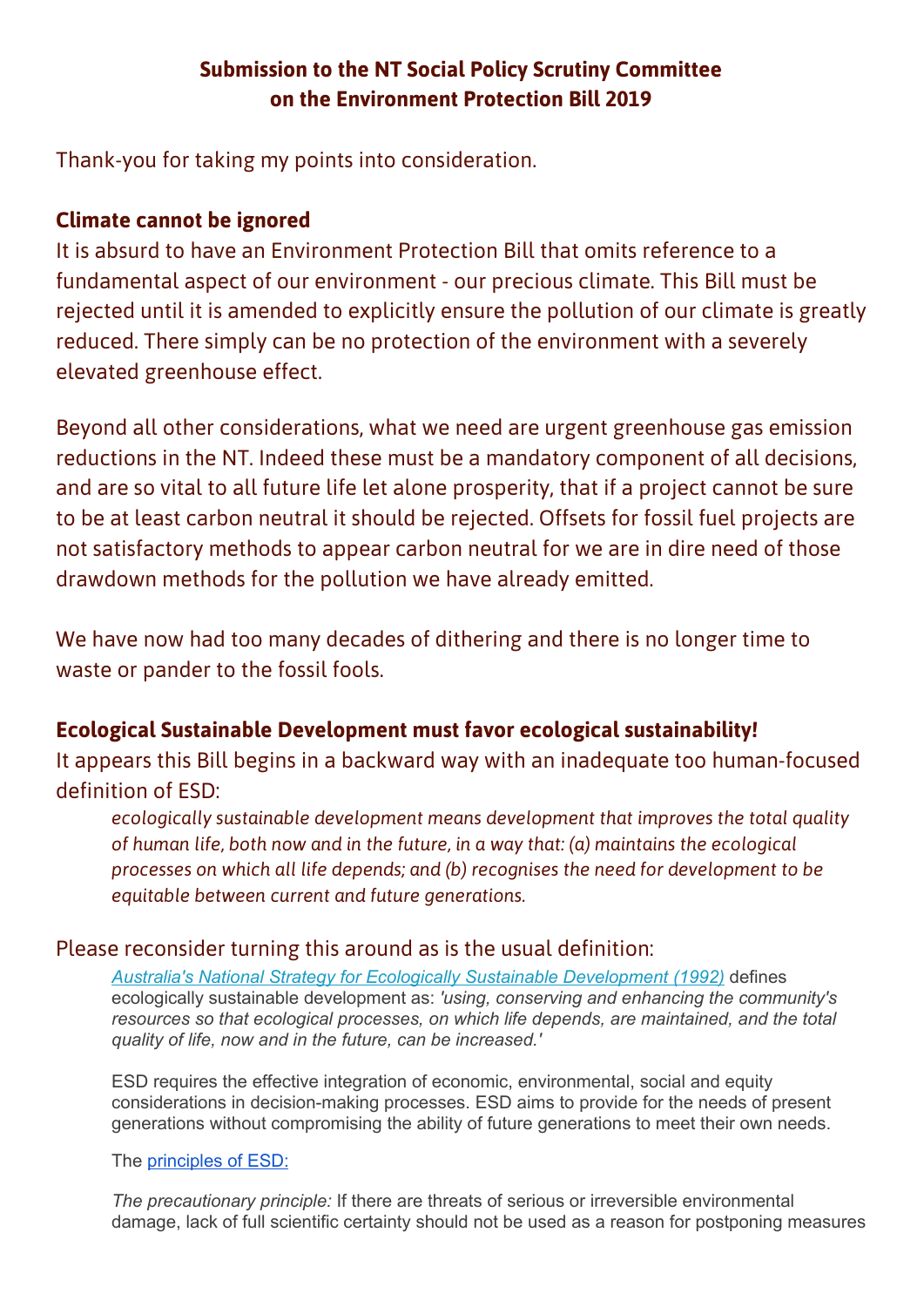# **Submission to the NT Social Policy Scrutiny Committee on the Environment Protection Bill 2019**

Thank-you for taking my points into consideration.

# **Climate cannot be ignored**

It is absurd to have an Environment Protection Bill that omits reference to a fundamental aspect of our environment - our precious climate. This Bill must be rejected until it is amended to explicitly ensure the pollution of our climate is greatly reduced. There simply can be no protection of the environment with a severely elevated greenhouse effect.

Beyond all other considerations, what we need are urgent greenhouse gas emission reductions in the NT. Indeed these must be a mandatory component of all decisions, and are so vital to all future life let alone prosperity, that if a project cannot be sure to be at least carbon neutral it should be rejected. Offsets for fossil fuel projects are not satisfactory methods to appear carbon neutral for we are in dire need of those drawdown methods for the pollution we have already emitted.

We have now had too many decades of dithering and there is no longer time to waste or pander to the fossil fools.

# **Ecological Sustainable Development must favor ecological sustainability!**

It appears this Bill begins in a backward way with an inadequate too human-focused definition of ESD:

*ecologically sustainable development means development that improves the total quality of human life, both now and in the future, in a way that: (a) maintains the ecological processes on which all life depends; and (b) recognises the need for development to be equitable between current and future generations.*

### Please reconsider turning this around as is the usual definition:

*Australia's National Strategy for Ecologically Sustainable [Development](http://www.environment.gov.au/about/esd/publications/strategy/index.html) (1992)* defines ecologically sustainable development as: *'using, conserving and enhancing the community's resources so that ecological processes, on which life depends, are maintained, and the total quality of life, now and in the future, can be increased.'*

ESD requires the effective integration of economic, environmental, social and equity considerations in decision-making processes. ESD aims to provide for the needs of present generations without compromising the ability of future generations to meet their own needs.

#### The [principles](https://www.legislation.nsw.gov.au/#/view/act/1991/60) of ESD:

*The precautionary principle:* If there are threats of serious or irreversible environmental damage, lack of full scientific certainty should not be used as a reason for postponing measures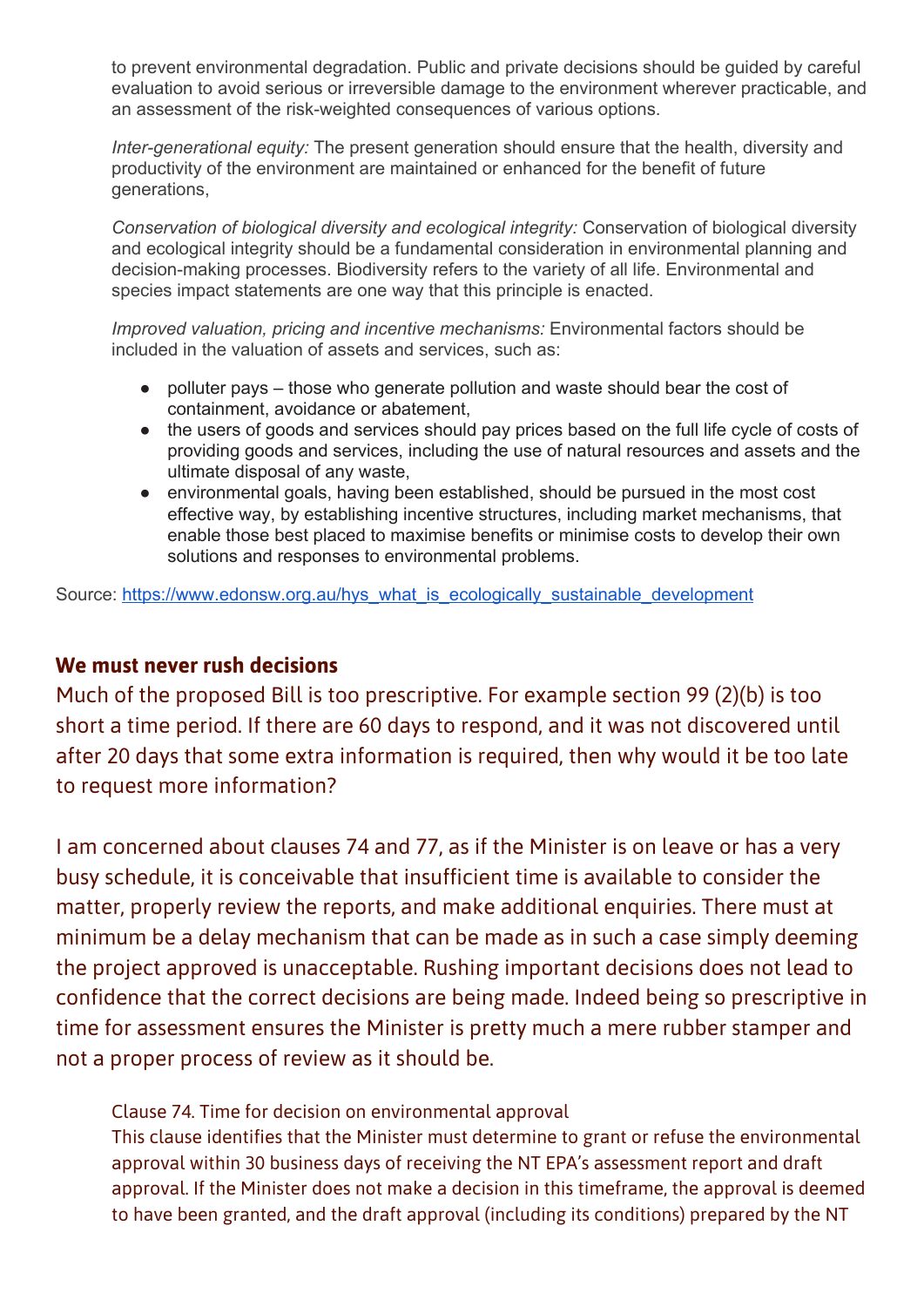to prevent environmental degradation. Public and private decisions should be guided by careful evaluation to avoid serious or irreversible damage to the environment wherever practicable, and an assessment of the risk-weighted consequences of various options.

*Inter-generational equity:* The present generation should ensure that the health, diversity and productivity of the environment are maintained or enhanced for the benefit of future generations,

*Conservation of biological diversity and ecological integrity:* Conservation of biological diversity and ecological integrity should be a fundamental consideration in environmental planning and decision-making processes. Biodiversity refers to the variety of all life. Environmental and species impact statements are one way that this principle is enacted.

*Improved valuation, pricing and incentive mechanisms:* Environmental factors should be included in the valuation of assets and services, such as:

- polluter pays those who generate pollution and waste should bear the cost of containment, avoidance or abatement,
- the users of goods and services should pay prices based on the full life cycle of costs of providing goods and services, including the use of natural resources and assets and the ultimate disposal of any waste,
- environmental goals, having been established, should be pursued in the most cost effective way, by establishing incentive structures, including market mechanisms, that enable those best placed to maximise benefits or minimise costs to develop their own solutions and responses to environmental problems.

Source: [https://www.edonsw.org.au/hys\\_what\\_is\\_ecologically\\_sustainable\\_development](https://www.edonsw.org.au/hys_what_is_ecologically_sustainable_development)

#### **We must never rush decisions**

Much of the proposed Bill is too prescriptive. For example section 99 (2)(b) is too short a time period. If there are 60 days to respond, and it was not discovered until after 20 days that some extra information is required, then why would it be too late to request more information?

I am concerned about clauses 74 and 77, as if the Minister is on leave or has a very busy schedule, it is conceivable that insufficient time is available to consider the matter, properly review the reports, and make additional enquiries. There must at minimum be a delay mechanism that can be made as in such a case simply deeming the project approved is unacceptable. Rushing important decisions does not lead to confidence that the correct decisions are being made. Indeed being so prescriptive in time for assessment ensures the Minister is pretty much a mere rubber stamper and not a proper process of review as it should be.

Clause 74. Time for decision on environmental approval

This clause identifies that the Minister must determine to grant or refuse the environmental approval within 30 business days of receiving the NT EPA's assessment report and draft approval. If the Minister does not make a decision in this timeframe, the approval is deemed to have been granted, and the draft approval (including its conditions) prepared by the NT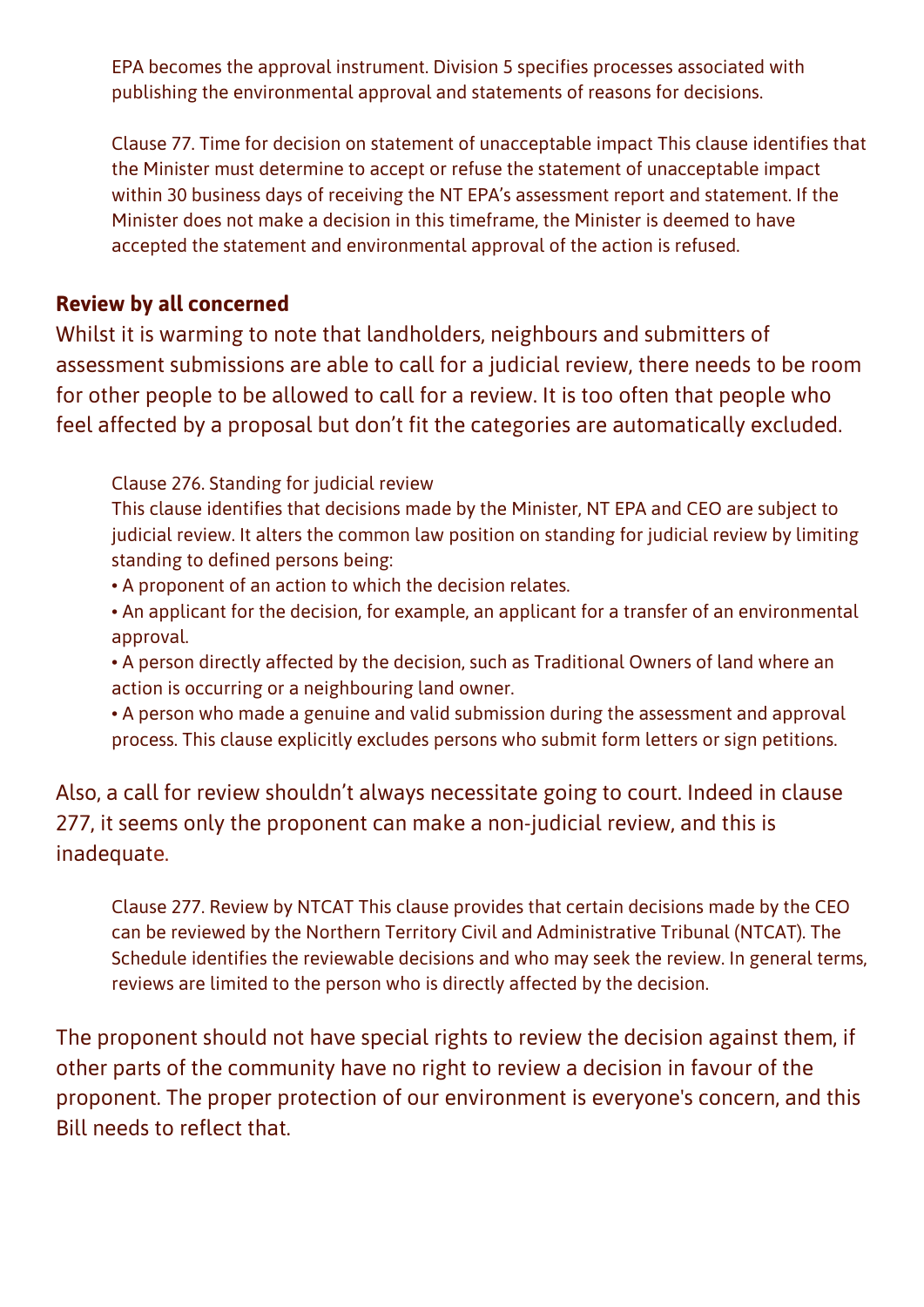EPA becomes the approval instrument. Division 5 specifies processes associated with publishing the environmental approval and statements of reasons for decisions.

Clause 77. Time for decision on statement of unacceptable impact This clause identifies that the Minister must determine to accept or refuse the statement of unacceptable impact within 30 business days of receiving the NT EPA's assessment report and statement. If the Minister does not make a decision in this timeframe, the Minister is deemed to have accepted the statement and environmental approval of the action is refused.

## **Review by all concerned**

Whilst it is warming to note that landholders, neighbours and submitters of assessment submissions are able to call for a judicial review, there needs to be room for other people to be allowed to call for a review. It is too often that people who feel affected by a proposal but don't fit the categories are automatically excluded.

Clause 276. Standing for judicial review

This clause identifies that decisions made by the Minister, NT EPA and CEO are subject to judicial review. It alters the common law position on standing for judicial review by limiting standing to defined persons being:

- A proponent of an action to which the decision relates.
- An applicant for the decision, for example, an applicant for a transfer of an environmental approval.
- A person directly affected by the decision, such as Traditional Owners of land where an action is occurring or a neighbouring land owner.
- A person who made a genuine and valid submission during the assessment and approval process. This clause explicitly excludes persons who submit form letters or sign petitions.

Also, a call for review shouldn't always necessitate going to court. Indeed in clause 277, it seems only the proponent can make a non-judicial review, and this is inadequate.

Clause 277. Review by NTCAT This clause provides that certain decisions made by the CEO can be reviewed by the Northern Territory Civil and Administrative Tribunal (NTCAT). The Schedule identifies the reviewable decisions and who may seek the review. In general terms, reviews are limited to the person who is directly affected by the decision.

The proponent should not have special rights to review the decision against them, if other parts of the community have no right to review a decision in favour of the proponent. The proper protection of our environment is everyone's concern, and this Bill needs to reflect that.